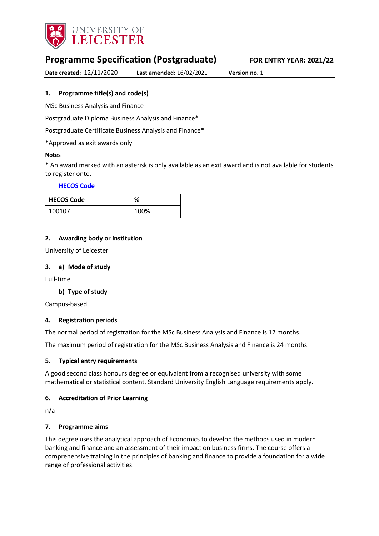

# **Programme Specification (Postgraduate) FOR ENTRY YEAR: 2021/22**

**Date created:** 12/11/2020 **Last amended:** 16/02/2021 **Version no.** 1

## <span id="page-0-0"></span>**1. Programme title(s) and code(s)**

MSc Business Analysis and Finance

Postgraduate Diploma Business Analysis and Finance\*

Postgraduate Certificate Business Analysis and Finance\*

\*Approved as exit awards only

### **Notes**

\* An award marked with an asterisk is only available as an exit award and is not available for students to register onto.

#### **[HECOS Code](https://www.hesa.ac.uk/innovation/hecos)**

| <b>HECOS Code</b> | %    |
|-------------------|------|
| 100107            | 100% |

## **2. Awarding body or institution**

University of Leicester

#### **3. a) Mode of study**

Full-time

### **b) Type of study**

Campus-based

### **4. Registration periods**

The normal period of registration for the MSc Business Analysis and Finance is 12 months.

The maximum period of registration for the MSc Business Analysis and Finance is 24 months.

### **5. Typical entry requirements**

A good second class honours degree or equivalent from a recognised university with some mathematical or statistical content. Standard University English Language requirements apply.

### **6. Accreditation of Prior Learning**

n/a

### **7. Programme aims**

This degree uses the analytical approach of Economics to develop the methods used in modern banking and finance and an assessment of their impact on business firms. The course offers a comprehensive training in the principles of banking and finance to provide a foundation for a wide range of professional activities.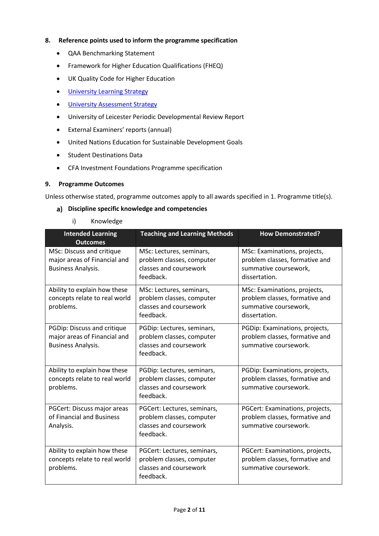## **8. Reference points used to inform the programme specification**

- QAA Benchmarking Statement
- Framework for Higher Education Qualifications (FHEQ)
- UK Quality Code for Higher Education
- **•** [University Learning](https://www2.le.ac.uk/offices/sas2/quality/learnteach) Strategy
- **•** [University Assessment Strategy](https://www2.le.ac.uk/offices/sas2/quality/learnteach)
- University of Leicester Periodic Developmental Review Report
- External Examiners' reports (annual)
- United Nations Education for Sustainable Development Goals
- Student Destinations Data
- CFA Investment Foundations Programme specification

#### **9. Programme Outcomes**

Unless otherwise stated, programme outcomes apply to all awards specified in [1.](#page-0-0) Programme title(s).

### **Discipline specific knowledge and competencies**

i) Knowledge

| <b>Intended Learning</b><br><b>Outcomes</b>                                              | <b>Teaching and Learning Methods</b>                                                            | <b>How Demonstrated?</b>                                                                                 |
|------------------------------------------------------------------------------------------|-------------------------------------------------------------------------------------------------|----------------------------------------------------------------------------------------------------------|
| MSc: Discuss and critique<br>major areas of Financial and<br><b>Business Analysis.</b>   | MSc: Lectures, seminars,<br>problem classes, computer<br>classes and coursework<br>feedback.    | MSc: Examinations, projects,<br>problem classes, formative and<br>summative coursework,<br>dissertation. |
| Ability to explain how these<br>concepts relate to real world<br>problems.               | MSc: Lectures, seminars,<br>problem classes, computer<br>classes and coursework<br>feedback.    | MSc: Examinations, projects,<br>problem classes, formative and<br>summative coursework,<br>dissertation. |
| PGDip: Discuss and critique<br>major areas of Financial and<br><b>Business Analysis.</b> | PGDip: Lectures, seminars,<br>problem classes, computer<br>classes and coursework<br>feedback.  | PGDip: Examinations, projects,<br>problem classes, formative and<br>summative coursework.                |
| Ability to explain how these<br>concepts relate to real world<br>problems.               | PGDip: Lectures, seminars,<br>problem classes, computer<br>classes and coursework<br>feedback.  | PGDip: Examinations, projects,<br>problem classes, formative and<br>summative coursework.                |
| PGCert: Discuss major areas<br>of Financial and Business<br>Analysis.                    | PGCert: Lectures, seminars,<br>problem classes, computer<br>classes and coursework<br>feedback. | PGCert: Examinations, projects,<br>problem classes, formative and<br>summative coursework.               |
| Ability to explain how these<br>concepts relate to real world<br>problems.               | PGCert: Lectures, seminars,<br>problem classes, computer<br>classes and coursework<br>feedback. | PGCert: Examinations, projects,<br>problem classes, formative and<br>summative coursework.               |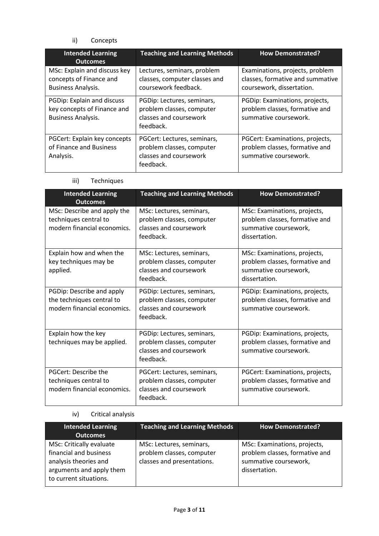ii) Concepts

| <b>Intended Learning</b><br><b>Outcomes</b>                                            | <b>Teaching and Learning Methods</b>                                                            | <b>How Demonstrated?</b>                                                                         |
|----------------------------------------------------------------------------------------|-------------------------------------------------------------------------------------------------|--------------------------------------------------------------------------------------------------|
| MSc: Explain and discuss key<br>concepts of Finance and<br><b>Business Analysis.</b>   | Lectures, seminars, problem<br>classes, computer classes and<br>coursework feedback.            | Examinations, projects, problem<br>classes, formative and summative<br>coursework, dissertation. |
| PGDip: Explain and discuss<br>key concepts of Finance and<br><b>Business Analysis.</b> | PGDip: Lectures, seminars,<br>problem classes, computer<br>classes and coursework<br>feedback.  | PGDip: Examinations, projects,<br>problem classes, formative and<br>summative coursework.        |
| PGCert: Explain key concepts<br>of Finance and Business<br>Analysis.                   | PGCert: Lectures, seminars,<br>problem classes, computer<br>classes and coursework<br>feedback. | PGCert: Examinations, projects,<br>problem classes, formative and<br>summative coursework.       |

iii) Techniques

| <b>Intended Learning</b><br><b>Outcomes</b>                                           | <b>Teaching and Learning Methods</b>                                                            | <b>How Demonstrated?</b>                                                                                 |
|---------------------------------------------------------------------------------------|-------------------------------------------------------------------------------------------------|----------------------------------------------------------------------------------------------------------|
| MSc: Describe and apply the<br>techniques central to<br>modern financial economics.   | MSc: Lectures, seminars,<br>problem classes, computer<br>classes and coursework<br>feedback.    | MSc: Examinations, projects,<br>problem classes, formative and<br>summative coursework,<br>dissertation. |
| Explain how and when the<br>key techniques may be<br>applied.                         | MSc: Lectures, seminars,<br>problem classes, computer<br>classes and coursework<br>feedback.    | MSc: Examinations, projects,<br>problem classes, formative and<br>summative coursework,<br>dissertation. |
| PGDip: Describe and apply<br>the techniques central to<br>modern financial economics. | PGDip: Lectures, seminars,<br>problem classes, computer<br>classes and coursework<br>feedback.  | PGDip: Examinations, projects,<br>problem classes, formative and<br>summative coursework.                |
| Explain how the key<br>techniques may be applied.                                     | PGDip: Lectures, seminars,<br>problem classes, computer<br>classes and coursework<br>feedback.  | PGDip: Examinations, projects,<br>problem classes, formative and<br>summative coursework.                |
| PGCert: Describe the<br>techniques central to<br>modern financial economics.          | PGCert: Lectures, seminars,<br>problem classes, computer<br>classes and coursework<br>feedback. | PGCert: Examinations, projects,<br>problem classes, formative and<br>summative coursework.               |

## iv) Critical analysis

| <b>Intended Learning</b><br><b>Outcomes</b>                                                                                       | <b>Teaching and Learning Methods</b>                                                | <b>How Demonstrated?</b>                                                                                 |
|-----------------------------------------------------------------------------------------------------------------------------------|-------------------------------------------------------------------------------------|----------------------------------------------------------------------------------------------------------|
| MSc: Critically evaluate<br>financial and business<br>analysis theories and<br>arguments and apply them<br>to current situations. | MSc: Lectures, seminars,<br>problem classes, computer<br>classes and presentations. | MSc: Examinations, projects,<br>problem classes, formative and<br>summative coursework,<br>dissertation. |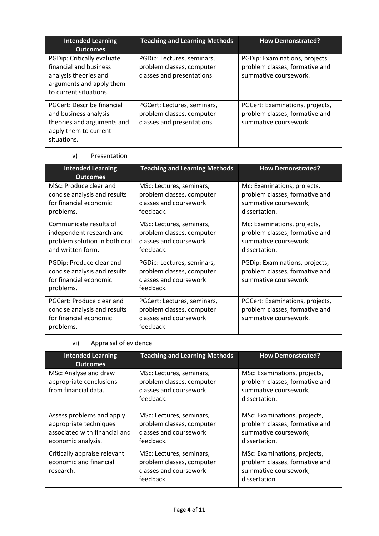| <b>Intended Learning</b><br><b>Outcomes</b>                                                                                         | <b>Teaching and Learning Methods</b>                                                   | <b>How Demonstrated?</b>                                                                   |
|-------------------------------------------------------------------------------------------------------------------------------------|----------------------------------------------------------------------------------------|--------------------------------------------------------------------------------------------|
| PGDip: Critically evaluate<br>financial and business<br>analysis theories and<br>arguments and apply them<br>to current situations. | PGDip: Lectures, seminars,<br>problem classes, computer<br>classes and presentations.  | PGDip: Examinations, projects,<br>problem classes, formative and<br>summative coursework.  |
| PGCert: Describe financial<br>and business analysis<br>theories and arguments and<br>apply them to current<br>situations.           | PGCert: Lectures, seminars,<br>problem classes, computer<br>classes and presentations. | PGCert: Examinations, projects,<br>problem classes, formative and<br>summative coursework. |

## v) Presentation

| <b>Intended Learning</b><br><b>Outcomes</b>                                                              | <b>Teaching and Learning Methods</b>                                                            | <b>How Demonstrated?</b>                                                                                |
|----------------------------------------------------------------------------------------------------------|-------------------------------------------------------------------------------------------------|---------------------------------------------------------------------------------------------------------|
| MSc: Produce clear and<br>concise analysis and results<br>for financial economic<br>problems.            | MSc: Lectures, seminars,<br>problem classes, computer<br>classes and coursework<br>feedback.    | Mc: Examinations, projects,<br>problem classes, formative and<br>summative coursework,<br>dissertation. |
| Communicate results of<br>independent research and<br>problem solution in both oral<br>and written form. | MSc: Lectures, seminars,<br>problem classes, computer<br>classes and coursework<br>feedback.    | Mc: Examinations, projects,<br>problem classes, formative and<br>summative coursework,<br>dissertation. |
| PGDip: Produce clear and<br>concise analysis and results<br>for financial economic<br>problems.          | PGDip: Lectures, seminars,<br>problem classes, computer<br>classes and coursework<br>feedback.  | PGDip: Examinations, projects,<br>problem classes, formative and<br>summative coursework.               |
| PGCert: Produce clear and<br>concise analysis and results<br>for financial economic<br>problems.         | PGCert: Lectures, seminars,<br>problem classes, computer<br>classes and coursework<br>feedback. | PGCert: Examinations, projects,<br>problem classes, formative and<br>summative coursework.              |

## vi) Appraisal of evidence

| <b>Intended Learning</b>                                                                                   | <b>Teaching and Learning Methods</b>                                                         | <b>How Demonstrated?</b>                                                                                 |
|------------------------------------------------------------------------------------------------------------|----------------------------------------------------------------------------------------------|----------------------------------------------------------------------------------------------------------|
| <b>Outcomes</b>                                                                                            |                                                                                              |                                                                                                          |
| MSc: Analyse and draw<br>appropriate conclusions<br>from financial data.                                   | MSc: Lectures, seminars,<br>problem classes, computer<br>classes and coursework<br>feedback. | MSc: Examinations, projects,<br>problem classes, formative and<br>summative coursework,<br>dissertation. |
| Assess problems and apply<br>appropriate techniques<br>associated with financial and<br>economic analysis. | MSc: Lectures, seminars,<br>problem classes, computer<br>classes and coursework<br>feedback. | MSc: Examinations, projects,<br>problem classes, formative and<br>summative coursework,<br>dissertation. |
| Critically appraise relevant<br>economic and financial<br>research.                                        | MSc: Lectures, seminars,<br>problem classes, computer<br>classes and coursework<br>feedback. | MSc: Examinations, projects,<br>problem classes, formative and<br>summative coursework,<br>dissertation. |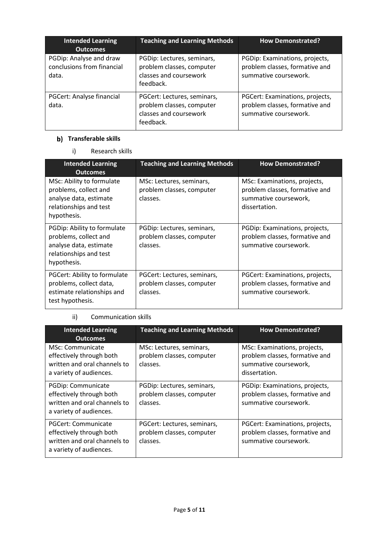| <b>Intended Learning</b><br><b>Outcomes</b>                    | <b>Teaching and Learning Methods</b>                                                            | <b>How Demonstrated?</b>                                                                   |
|----------------------------------------------------------------|-------------------------------------------------------------------------------------------------|--------------------------------------------------------------------------------------------|
| PGDip: Analyse and draw<br>conclusions from financial<br>data. | PGDip: Lectures, seminars,<br>problem classes, computer<br>classes and coursework<br>feedback.  | PGDip: Examinations, projects,<br>problem classes, formative and<br>summative coursework.  |
| PGCert: Analyse financial<br>data.                             | PGCert: Lectures, seminars,<br>problem classes, computer<br>classes and coursework<br>feedback. | PGCert: Examinations, projects,<br>problem classes, formative and<br>summative coursework. |

## **b)** Transferable skills

i) Research skills

| <b>Intended Learning</b><br><b>Outcomes</b>                                                                             | <b>Teaching and Learning Methods</b>                                 | <b>How Demonstrated?</b>                                                                                 |
|-------------------------------------------------------------------------------------------------------------------------|----------------------------------------------------------------------|----------------------------------------------------------------------------------------------------------|
| MSc: Ability to formulate<br>problems, collect and<br>analyse data, estimate<br>relationships and test<br>hypothesis.   | MSc: Lectures, seminars,<br>problem classes, computer<br>classes.    | MSc: Examinations, projects,<br>problem classes, formative and<br>summative coursework,<br>dissertation. |
| PGDip: Ability to formulate<br>problems, collect and<br>analyse data, estimate<br>relationships and test<br>hypothesis. | PGDip: Lectures, seminars,<br>problem classes, computer<br>classes.  | PGDip: Examinations, projects,<br>problem classes, formative and<br>summative coursework.                |
| PGCert: Ability to formulate<br>problems, collect data,<br>estimate relationships and<br>test hypothesis.               | PGCert: Lectures, seminars,<br>problem classes, computer<br>classes. | PGCert: Examinations, projects,<br>problem classes, formative and<br>summative coursework.               |

## ii) Communication skills

| <b>Intended Learning</b><br><b>Outcomes</b>                                                                | <b>Teaching and Learning Methods</b>                                 | <b>How Demonstrated?</b>                                                                                 |
|------------------------------------------------------------------------------------------------------------|----------------------------------------------------------------------|----------------------------------------------------------------------------------------------------------|
| MSc: Communicate<br>effectively through both<br>written and oral channels to<br>a variety of audiences.    | MSc: Lectures, seminars,<br>problem classes, computer<br>classes.    | MSc: Examinations, projects,<br>problem classes, formative and<br>summative coursework,<br>dissertation. |
| PGDip: Communicate<br>effectively through both<br>written and oral channels to<br>a variety of audiences.  | PGDip: Lectures, seminars,<br>problem classes, computer<br>classes.  | PGDip: Examinations, projects,<br>problem classes, formative and<br>summative coursework.                |
| PGCert: Communicate<br>effectively through both<br>written and oral channels to<br>a variety of audiences. | PGCert: Lectures, seminars,<br>problem classes, computer<br>classes. | PGCert: Examinations, projects,<br>problem classes, formative and<br>summative coursework.               |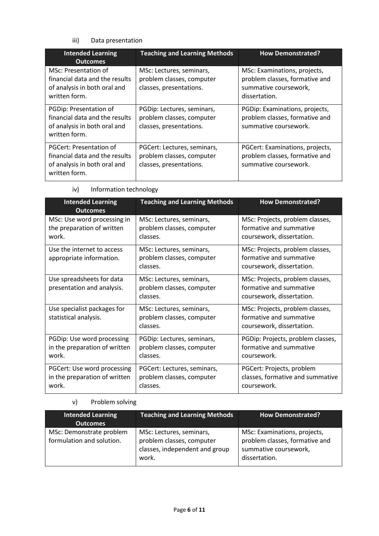## iii) Data presentation

| <b>Intended Learning</b><br><b>Outcomes</b>                                                                | <b>Teaching and Learning Methods</b>                                                | <b>How Demonstrated?</b>                                                                                 |
|------------------------------------------------------------------------------------------------------------|-------------------------------------------------------------------------------------|----------------------------------------------------------------------------------------------------------|
| MSc: Presentation of<br>financial data and the results<br>of analysis in both oral and<br>written form.    | MSc: Lectures, seminars,<br>problem classes, computer<br>classes, presentations.    | MSc: Examinations, projects,<br>problem classes, formative and<br>summative coursework,<br>dissertation. |
| PGDip: Presentation of<br>financial data and the results<br>of analysis in both oral and<br>written form.  | PGDip: Lectures, seminars,<br>problem classes, computer<br>classes, presentations.  | PGDip: Examinations, projects,<br>problem classes, formative and<br>summative coursework.                |
| PGCert: Presentation of<br>financial data and the results<br>of analysis in both oral and<br>written form. | PGCert: Lectures, seminars,<br>problem classes, computer<br>classes, presentations. | PGCert: Examinations, projects,<br>problem classes, formative and<br>summative coursework.               |

| iv) | Information technology |
|-----|------------------------|
|     |                        |

| <b>Intended Learning</b><br><b>Outcomes</b>                           | <b>Teaching and Learning Methods</b>                                 | <b>How Demonstrated?</b>                                                                |
|-----------------------------------------------------------------------|----------------------------------------------------------------------|-----------------------------------------------------------------------------------------|
| MSc: Use word processing in<br>the preparation of written<br>work.    | MSc: Lectures, seminars,<br>problem classes, computer<br>classes.    | MSc: Projects, problem classes,<br>formative and summative<br>coursework, dissertation. |
| Use the internet to access<br>appropriate information.                | MSc: Lectures, seminars,<br>problem classes, computer<br>classes.    | MSc: Projects, problem classes,<br>formative and summative<br>coursework, dissertation. |
| Use spreadsheets for data<br>presentation and analysis.               | MSc: Lectures, seminars,<br>problem classes, computer<br>classes.    | MSc: Projects, problem classes,<br>formative and summative<br>coursework, dissertation. |
| Use specialist packages for<br>statistical analysis.                  | MSc: Lectures, seminars,<br>problem classes, computer<br>classes.    | MSc: Projects, problem classes,<br>formative and summative<br>coursework, dissertation. |
| PGDip: Use word processing<br>in the preparation of written<br>work.  | PGDip: Lectures, seminars,<br>problem classes, computer<br>classes.  | PGDip: Projects, problem classes,<br>formative and summative<br>coursework.             |
| PGCert: Use word processing<br>in the preparation of written<br>work. | PGCert: Lectures, seminars,<br>problem classes, computer<br>classes. | PGCert: Projects, problem<br>classes, formative and summative<br>coursework.            |

## v) Problem solving

| <b>Intended Learning</b><br><b>Outcomes</b>           | <b>Teaching and Learning Methods</b>                                                             | <b>How Demonstrated?</b>                                                                                 |
|-------------------------------------------------------|--------------------------------------------------------------------------------------------------|----------------------------------------------------------------------------------------------------------|
| MSc: Demonstrate problem<br>formulation and solution. | MSc: Lectures, seminars,<br>problem classes, computer<br>classes, independent and group<br>work. | MSc: Examinations, projects,<br>problem classes, formative and<br>summative coursework,<br>dissertation. |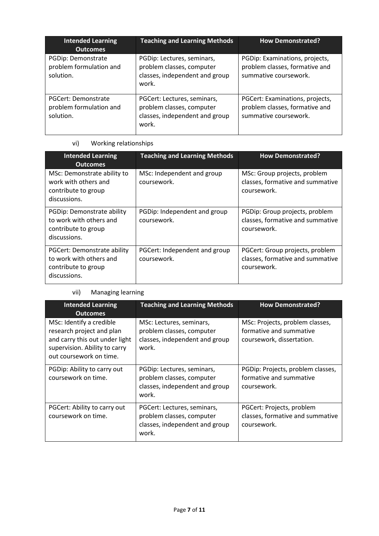| <b>Intended Learning</b><br><b>Outcomes</b>                 | <b>Teaching and Learning Methods</b>                                                                | <b>How Demonstrated?</b>                                                                   |
|-------------------------------------------------------------|-----------------------------------------------------------------------------------------------------|--------------------------------------------------------------------------------------------|
| PGDip: Demonstrate<br>problem formulation and<br>solution.  | PGDip: Lectures, seminars,<br>problem classes, computer<br>classes, independent and group<br>work.  | PGDip: Examinations, projects,<br>problem classes, formative and<br>summative coursework.  |
| PGCert: Demonstrate<br>problem formulation and<br>solution. | PGCert: Lectures, seminars,<br>problem classes, computer<br>classes, independent and group<br>work. | PGCert: Examinations, projects,<br>problem classes, formative and<br>summative coursework. |

## vi) Working relationships

| <b>Intended Learning</b><br><b>Outcomes</b>                                                          | <b>Teaching and Learning Methods</b>         | <b>How Demonstrated?</b>                                                           |
|------------------------------------------------------------------------------------------------------|----------------------------------------------|------------------------------------------------------------------------------------|
| MSc: Demonstrate ability to<br>work with others and<br>contribute to group<br>discussions.           | MSc: Independent and group<br>coursework.    | MSc: Group projects, problem<br>classes, formative and summative<br>coursework.    |
| PGDip: Demonstrate ability<br>to work with others and<br>contribute to group<br>discussions.         | PGDip: Independent and group<br>coursework.  | PGDip: Group projects, problem<br>classes, formative and summative<br>coursework.  |
| <b>PGCert: Demonstrate ability</b><br>to work with others and<br>contribute to group<br>discussions. | PGCert: Independent and group<br>coursework. | PGCert: Group projects, problem<br>classes, formative and summative<br>coursework. |

## vii) Managing learning

| <b>Intended Learning</b><br><b>Outcomes</b>                                                                                                         | <b>Teaching and Learning Methods</b>                                                                | <b>How Demonstrated?</b>                                                                |
|-----------------------------------------------------------------------------------------------------------------------------------------------------|-----------------------------------------------------------------------------------------------------|-----------------------------------------------------------------------------------------|
| MSc: Identify a credible<br>research project and plan<br>and carry this out under light<br>supervision. Ability to carry<br>out coursework on time. | MSc: Lectures, seminars,<br>problem classes, computer<br>classes, independent and group<br>work.    | MSc: Projects, problem classes,<br>formative and summative<br>coursework, dissertation. |
| PGDip: Ability to carry out<br>coursework on time.                                                                                                  | PGDip: Lectures, seminars,<br>problem classes, computer<br>classes, independent and group<br>work.  | PGDip: Projects, problem classes,<br>formative and summative<br>coursework.             |
| PGCert: Ability to carry out<br>coursework on time.                                                                                                 | PGCert: Lectures, seminars,<br>problem classes, computer<br>classes, independent and group<br>work. | PGCert: Projects, problem<br>classes, formative and summative<br>coursework.            |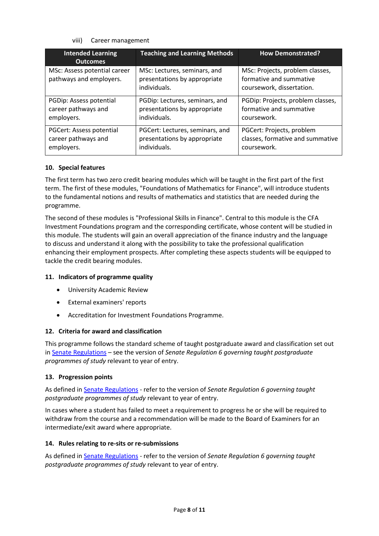viii) Career management

| <b>Intended Learning</b><br><b>Outcomes</b>             | <b>Teaching and Learning Methods</b>                                         | <b>How Demonstrated?</b>                                                                |
|---------------------------------------------------------|------------------------------------------------------------------------------|-----------------------------------------------------------------------------------------|
| MSc: Assess potential career<br>pathways and employers. | MSc: Lectures, seminars, and<br>presentations by appropriate<br>individuals. | MSc: Projects, problem classes,<br>formative and summative<br>coursework, dissertation. |
| PGDip: Assess potential                                 | PGDip: Lectures, seminars, and                                               | PGDip: Projects, problem classes,                                                       |
| career pathways and                                     | presentations by appropriate                                                 | formative and summative                                                                 |
| employers.                                              | individuals.                                                                 | coursework.                                                                             |
| <b>PGCert: Assess potential</b>                         | PGCert: Lectures, seminars, and                                              | PGCert: Projects, problem                                                               |
| career pathways and                                     | presentations by appropriate                                                 | classes, formative and summative                                                        |
| employers.                                              | individuals.                                                                 | coursework.                                                                             |

## **10. Special features**

The first term has two zero credit bearing modules which will be taught in the first part of the first term. The first of these modules, "Foundations of Mathematics for Finance", will introduce students to the fundamental notions and results of mathematics and statistics that are needed during the programme.

The second of these modules is "Professional Skills in Finance". Central to this module is the CFA Investment Foundations program and the corresponding certificate, whose content will be studied in this module. The students will gain an overall appreciation of the finance industry and the language to discuss and understand it along with the possibility to take the professional qualification enhancing their employment prospects. After completing these aspects students will be equipped to tackle the credit bearing modules.

### **11. Indicators of programme quality**

- University Academic Review
- External examiners' reports
- Accreditation for Investment Foundations Programme.

### **12. Criteria for award and classification**

This programme follows the standard scheme of taught postgraduate award and classification set out i[n Senate Regulations](http://www.le.ac.uk/senate-regulations) – see the version of *Senate Regulation 6 governing taught postgraduate programmes of study* relevant to year of entry.

### **13. Progression points**

As defined i[n Senate Regulations](http://www.le.ac.uk/senate-regulation6) - refer to the version of *Senate Regulation 6 governing taught postgraduate programmes of study* relevant to year of entry.

In cases where a student has failed to meet a requirement to progress he or she will be required to withdraw from the course and a recommendation will be made to the Board of Examiners for an intermediate/exit award where appropriate.

### **14. Rules relating to re-sits or re-submissions**

As defined i[n Senate Regulations](http://www.le.ac.uk/senate-regulation6) - refer to the version of *Senate Regulation 6 governing taught postgraduate programmes of study* relevant to year of entry.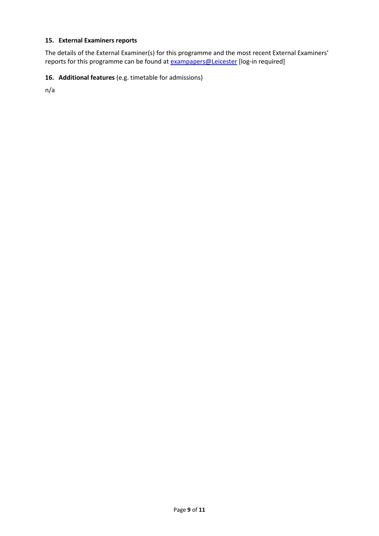## **15. External Examiners reports**

The details of the External Examiner(s) for this programme and the most recent External Examiners' reports for this programme can be found at **[exampapers@Leicester](https://exampapers.le.ac.uk/)** [log-in required]

## **16. Additional features** (e.g. timetable for admissions)

n/a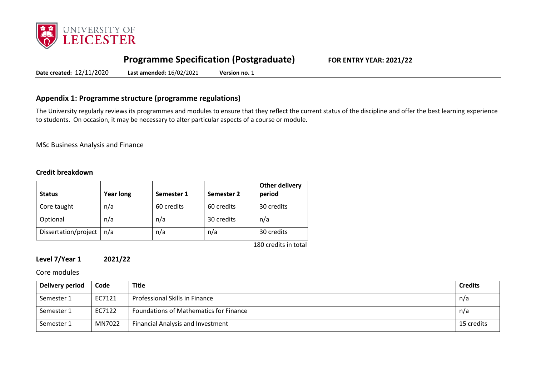

# **Programme Specification (Postgraduate) FOR ENTRY YEAR: 2021/22**

**Date created:** 12/11/2020 **Last amended:** 16/02/2021 **Version no.** 1

## **Appendix 1: Programme structure (programme regulations)**

The University regularly reviews its programmes and modules to ensure that they reflect the current status of the discipline and offer the best learning experience to students. On occasion, it may be necessary to alter particular aspects of a course or module.

MSc Business Analysis and Finance

## **Credit breakdown**

| <b>Status</b>        | <b>Year long</b> | Semester 1 | Semester 2 | <b>Other delivery</b><br>period |
|----------------------|------------------|------------|------------|---------------------------------|
| Core taught          | n/a              | 60 credits | 60 credits | 30 credits                      |
| Optional             | n/a              | n/a        | 30 credits | n/a                             |
| Dissertation/project | n/a              | n/a        | n/a        | 30 credits                      |
|                      |                  |            |            | $100$ crodite in total          |

180 credits in total

## **Level 7/Year 1 2021/22**

Core modules

| Delivery period | Code   | <b>Title</b>                             | <b>Credits</b> |
|-----------------|--------|------------------------------------------|----------------|
| Semester 1      | EC7121 | Professional Skills in Finance           | n/a            |
| Semester 1      | EC7122 | Foundations of Mathematics for Finance   | n/a            |
| Semester 1      | MN7022 | <b>Financial Analysis and Investment</b> | 15 credits     |